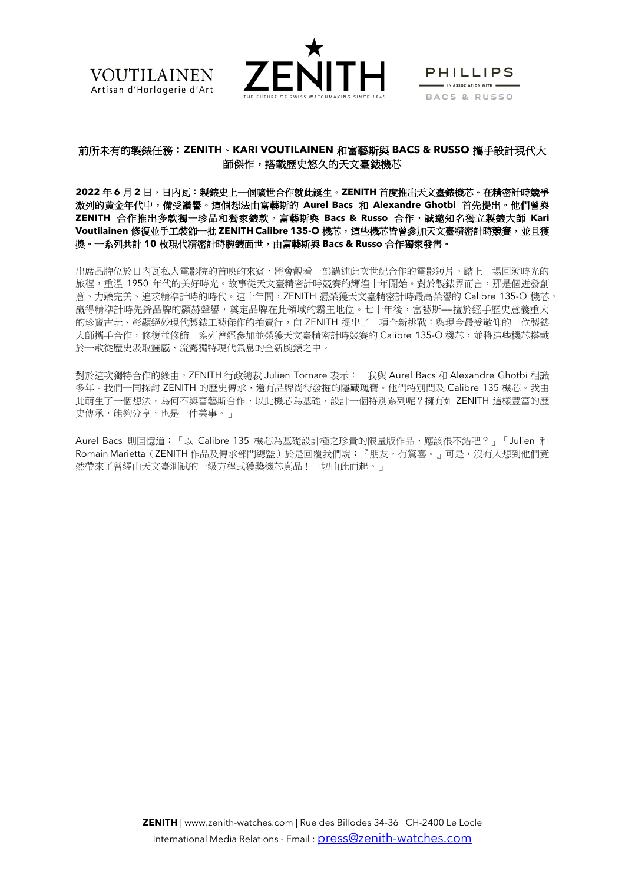



**PHILLIPS**  $\blacksquare$  IN ASSOCIATION WITH  $\blacksquare$ BACS & RUSSO

# 前所未有的製錶任務:**ZENITH**、**KARI VOUTILAINEN** 和富藝斯與 **BACS & RUSSO** 攜手設計現代大 師傑作,搭載歷史悠久的天文臺錶機芯

**2022** 年 **6** 月 **2** 日,日內瓦:製錶史上一個曠世合作就此誕生。**ZENITH** 首度推出天文臺錶機芯。在精密計時競爭 激列的黃金年代中,備受讚譽。這個想法由富藝斯的 **Aurel Bacs** 和 **Alexandre Ghotbi** 首先提出。他們曾與 **ZENITH** 合作推出多款獨一珍品和獨家錶款。富藝斯與 **Bacs & Russo** 合作,誠邀知名獨立製錶大師 **Kari Voutilainen** 修復並手工裝飾一批 **ZENITH Calibre 135-O** 機芯,這些機芯皆曾參加天文臺精密計時競賽,並且獲 獎。一系列共計 **10** 枚現代精密計時腕錶面世,由富藝斯與 **Bacs & Russo** 合作獨家發售。

出席品牌位於日內瓦私人電影院的首映的來賓,將會觀看一部講述此次世紀合作的電影短片,踏上一場回溯時光的 旅程,重溫 1950 年代的美好時光。故事從天文臺精密計時競賽的輝煌十年開始。對於製錶界而言,那是個迸發創 意、力臻完美、追求精準計時的時代。這十年間,ZENITH 憑榮獲天文臺精密計時最高榮譽的 Calibre 135-O 機芯, 贏得精準計時先鋒品牌的顯赫聲譽,奠定品牌在此領域的霸主地位。七十年後,富藝斯——擅於經手歷史意義重大 的珍寶古玩、彰顯絕妙現代製錶工藝傑作的拍賣行,向 ZENITH 提出了一項全新挑戰:與現今最受敬仰的一位製錶 大師攜手合作,修復並修飾一系列曾經參加並榮獲天文臺精密計時競賽的 Calibre 135-O 機芯,並將這些機芯搭載 於一款從歷史汲取靈感、流露獨特現代氣息的全新腕錶之中。

對於這次獨特合作的緣由,ZENITH 行政總裁 Julien Tornare 表示:「我與 Aurel Bacs 和 Alexandre Ghotbi 相識 多年。我們一同探討 ZENITH 的歷史傳承,還有品牌尚待發掘的隱藏瑰寶。他們特別問及 Calibre 135 機芯。我由 此萌生了一個想法,為何不與富藝斯合作,以此機芯為基礎,設計一個特別系列呢?擁有如 ZENITH 這樣豐富的歷 史傳承,能夠分享,也是一件美事。」

Aurel Bacs 則回憶道:「以 Calibre 135 機芯為基礎設計極之珍貴的限量版作品,應該很不錯吧?」「Julien 和 Romain Marietta(ZENITH 作品及傳承部門總監)於是回覆我們說:『朋友,有驚喜。』可是,沒有人想到他們竟 然帶來了曾經由天文臺測試的一級方程式獲獎機芯真品!一切由此而起。」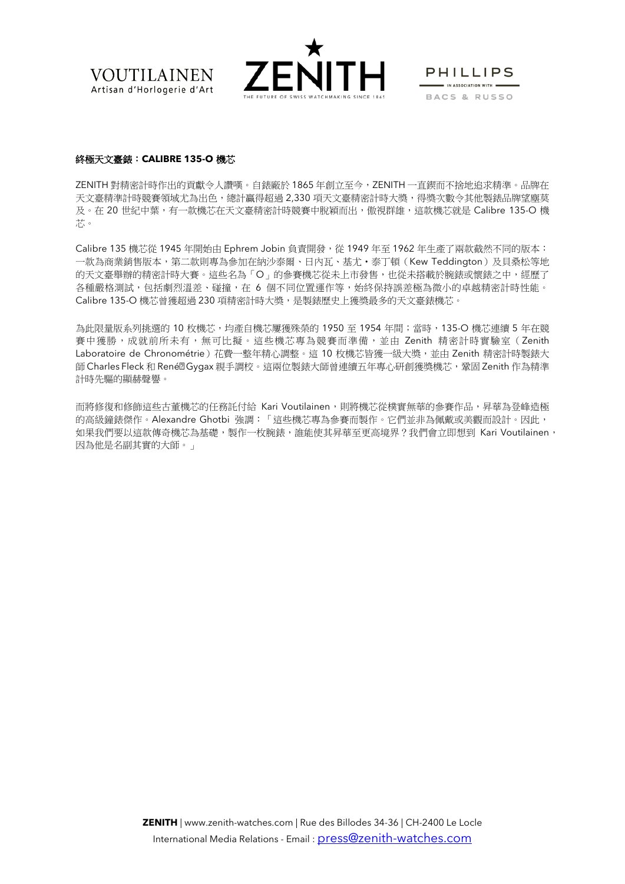



PHILLIPS  $\blacksquare$  IN ASSOCIATION WITH  $\blacksquare$ BACS & RUSSO

#### 終極天文臺錶:**CALIBRE 135-O** 機芯

ZENITH 對精密計時作出的貢獻令人讚嘆。自錶廠於 1865 年創立至今,ZENITH 一直鍥而不捨地追求精準。品牌在 天文臺精準計時競賽領域尤為出色,總計贏得超過 2,330 項天文臺精密計時大獎,得獎本數令其他製錶品牌望塵莫 及。在 20 世紀中葉,有一款機芯在天文臺精密計時競賽中脫穎而出,傲視群雄,這款機芯就是 Calibre 135-O 機 芯。

Calibre 135 機芯從 1945 年開始由 Ephrem Jobin 負責開發,從 1949 年至 1962 年生產了兩款截然不同的版本: 一款為商業銷售版本,第二款則專為參加在納沙泰爾、日內瓦、基尤•泰丁頓(Kew Teddington)及貝桑松等地 的天文臺舉辦的精密計時大賽。這些名為「O」的參賽機芯從未上市發售,也從未搭載於腕錶或懷錶之中,經歷了 各種嚴格測試,包括劇烈溫差、碰撞,在 6 個不同位置運作等,始終保持誤差極為微小的卓越精密計時性能。 Calibre 135-O 機芯曾獲超過 230 項精密計時大獎,是製錶歷史上獲獎最多的天文臺錶機芯。

為此限量版系列挑選的 10 枚機芯,均產自機芯屢獲殊榮的 1950 至 1954 年間;當時,135-O 機芯連續 5 年在競 賽中獲勝,成就前所未有,無可比擬。這些機芯專為競賽而準備,並由 Zenith 精密計時實驗室(Zenith Laboratoire de Chronométrie)花費一整年精心調整。這 10 枚機芯皆獲一級大獎,並由 Zenith 精密計時製錶大 師 Charles Fleck 和 René<sup>g</sup> Gygax 親手調校。這兩位製錶大師曾連續五年專心研創獲獎機芯,鞏固 Zenith 作為精準 計時先驅的顯赫聲譽。

而將修復和修飾這些古董機芯的任務託付給 Kari Voutilainen,則將機芯從樸實無華的參賽作品,昇華為登峰造極 的高級鐘錶傑作。Alexandre Ghotbi 強調:「這些機芯專為參賽而製作。它們並非為佩戴或美觀而設計。因此, 如果我們要以這款傳奇機芯為基礎,製作一枚腕錶,誰能使其昇華至更高境界?我們會立即想到 Kari Voutilainen, 因為他是名副其實的大師。」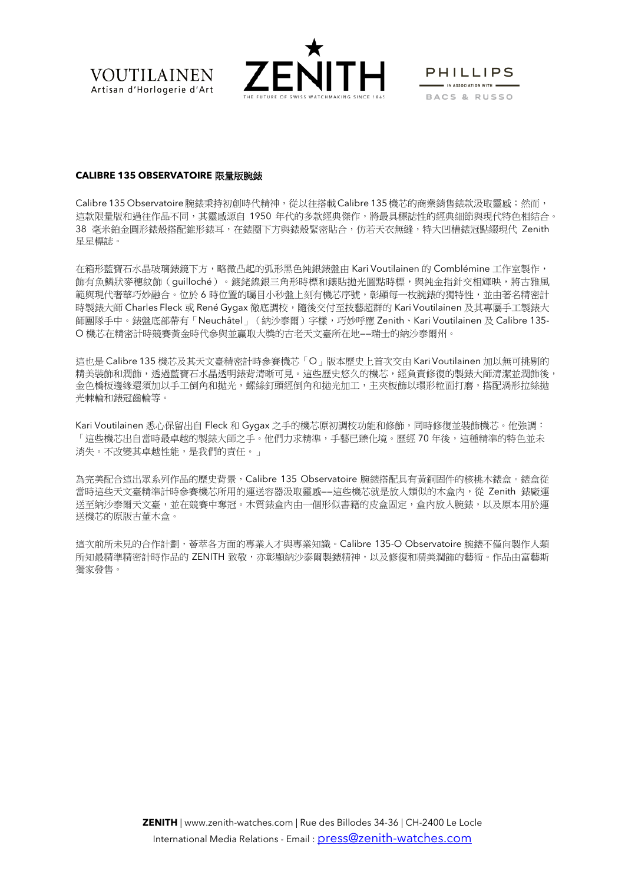



**PHILLIPS**  $\blacksquare$  IN ASSOCIATION WITH  $\blacksquare$ BACS & RUSSO

#### **CALIBRE 135 OBSERVATOIRE** 限量版腕錶

Calibre 135 Observatoire 腕錶秉持初創時代精神,從以往搭載 Calibre 135 機芯的商業銷售錶款汲取靈感;然而, 這款限量版和過往作品不同,其靈感源自 1950 年代的多款經典傑作,將最具標誌性的經典細節與現代特色相結合。 38 毫米鉑金圓形錶殼搭配錐形錶耳,在錶圈下方與錶殼緊密貼合,仿若天衣無縫,特大凹槽錶冠點綴現代 Zenith 星星標誌。

在箱形藍寶石水晶玻璃錶鏡下方,略微凸起的弧形黑色純銀錶盤由 Kari Voutilainen 的 Comblémine 工作室製作, 飾有魚鱗狀麥穗紋飾(guilloché)。鍍銠鎳銀三角形時標和鑲貼拋光圓點時標,與純金指針交相輝映,將古雅風 範與現代奢華巧妙融合。位於 6 時位置的矚目小秒盤上刻有機芯序號,彰顯每一枚腕錶的獨特性,並由著名精密計 時製錶大師 Charles Fleck 或 René Gygax 徹底調校,隨後交付至技藝超群的 Kari Voutilainen 及其專屬手工製錶大 師團隊手中。錶盤底部帶有「Neuchâtel」(納沙泰爾)字樣,巧妙呼應 Zenith、Kari Voutilainen 及 Calibre 135- O 機芯在精密計時競賽黃金時代參與並贏取大獎的古老天文臺所在地——瑞士的納沙泰爾州。

這也是 Calibre 135 機芯及其天文臺精密計時參賽機芯「O」版本歷史上首次交由 Kari Voutilainen 加以無可挑剔的 精美裝飾和潤飾,透過藍寶石水晶透明錶背清晰可見。這些歷史悠久的機芯,經負責修復的製錶大師清潔並潤飾後, 金色橋板邊緣還須加以手工倒角和拋光,螺絲釘頭經倒角和拋光加工,主夾板飾以環形粒面打磨,搭配渦形拉絲拋 光棘輪和錶冠齒輪等。

Kari Voutilainen 悉心保留出自 Fleck 和 Gygax 之手的機芯原初調校功能和修飾,同時修復並裝飾機芯。他強調: 「這些機芯出自當時最卓越的製錶大師之手。他們力求精準,手藝已臻化境。歷經 70 年後,這種精準的特色並未 消失。不改變其卓越性能,是我們的責任。」

為完美配合這出眾系列作品的歷史背景,Calibre 135 Observatoire 腕錶搭配具有黃銅固件的核桃木錶盒。錶盒從 當時這些天文臺精準計時參賽機芯所用的運送容器汲取靈感——這些機芯就是放入類似的木盒內,從 Zenith 錶廠運 送至納沙泰爾天文臺,並在競賽中奪冠。木質錶盒內由一個形似書籍的皮盒固定,盒內放入腕錶,以及原本用於運 送機芯的原版古董木盒。

這次前所未見的合作計劃,薈萃各方面的專業人才與專業知識。Calibre 135-O Observatoire 腕錶不僅向製作人類 所知最精準精密計時作品的 ZENITH 致敬,亦彰顯納沙泰爾製錶精神,以及修復和精美潤飾的藝術。作品由富藝斯 獨家發售。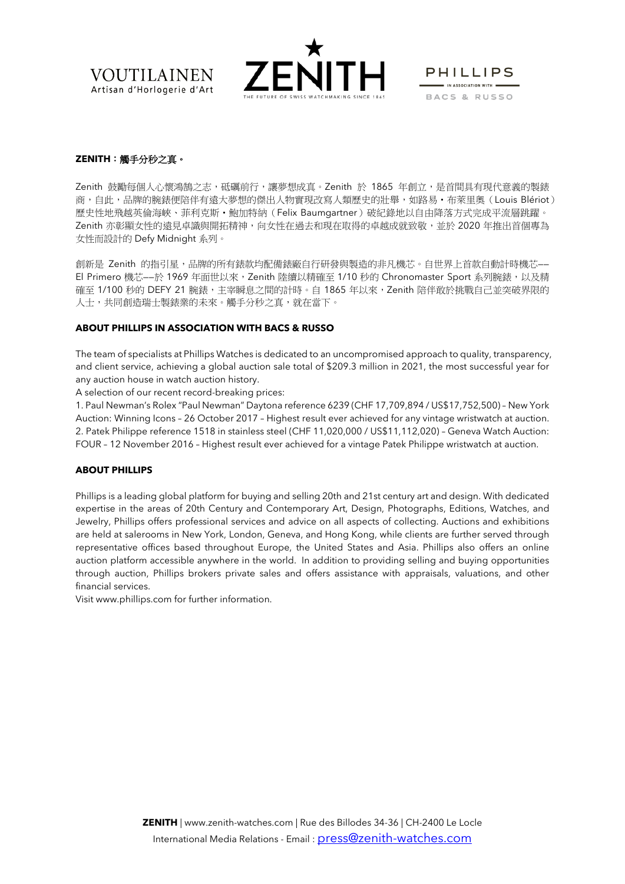



**PHILLIPS** IN ASSOCIATION WITH = BACS & RUSSO

# **ZENITH**:觸手分秒之真。

Zenith 鼓勵每個人心懷鴻鵠之志,砥礪前行,讓夢想成真。Zenith 於 1865 年創立,是首間具有現代意義的製錶 商,自此,品牌的腕錶便陪伴有遠大夢想的傑出人物實現改寫人類歷史的壯舉,如路易·布萊里奧(Louis Blériot) 歴史性地飛越英倫海峽、菲利克斯·鮑加特納 (Felix Baumgartner) 破紀錄地以自由降落方式完成平流層跳躍。 Zenith 亦彰顯女性的遠見卓識與開拓精神,向女性在過去和現在取得的卓越成就致敬,並於 2020 年推出首個專為 女性而設計的 Defy Midnight 系列。

創新是 Zenith 的指引星,品牌的所有錶款均配備錶廠自行研發與製造的非凡機芯。自世界上首款自動計時機芯—— El Primero 機芯--於 1969 年面世以來,Zenith 陸續以精確至 1/10 秒的 Chronomaster Sport 系列腕錶,以及精 確至 1/100 秒的 DEFY 21 腕錶,主宰瞬息之間的計時。自 1865 年以來,Zenith 陪伴敢於挑戰自己並突破界限的 人士,共同創造瑞士製錶業的未來。觸手分秒之真,就在當下。

#### **ABOUT PHILLIPS IN ASSOCIATION WITH BACS & RUSSO**

The team of specialists at Phillips Watches is dedicated to an uncompromised approach to quality, transparency, and client service, achieving a global auction sale total of \$209.3 million in 2021, the most successful year for any auction house in watch auction history.

A selection of our recent record-breaking prices:

1. Paul Newman's Rolex "Paul Newman" Daytona reference 6239 (CHF 17,709,894 / US\$17,752,500) – New York Auction: Winning Icons – 26 October 2017 – Highest result ever achieved for any vintage wristwatch at auction. 2. Patek Philippe reference 1518 in stainless steel (CHF 11,020,000 / US\$11,112,020) – Geneva Watch Auction: FOUR – 12 November 2016 – Highest result ever achieved for a vintage Patek Philippe wristwatch at auction.

## **ABOUT PHILLIPS**

Phillips is a leading global platform for buying and selling 20th and 21st century art and design. With dedicated expertise in the areas of 20th Century and Contemporary Art, Design, Photographs, Editions, Watches, and Jewelry, Phillips offers professional services and advice on all aspects of collecting. Auctions and exhibitions are held at salerooms in New York, London, Geneva, and Hong Kong, while clients are further served through representative offices based throughout Europe, the United States and Asia. Phillips also offers an online auction platform accessible anywhere in the world. In addition to providing selling and buying opportunities through auction, Phillips brokers private sales and offers assistance with appraisals, valuations, and other financial services.

Visi[t www.phillips.com](https://urldefense.com/v3/__http:/www.phillips.com/__;!!Lt0KOR8!Q324Ki59Bjj6G4GqG-dOsi67Z3bXE3JPwr2dbx71bEIbu8Ig6XxW4k_oVmivL5qmvEoIVoqJSiblUsr1IndfNMA-nVM$) for further information.